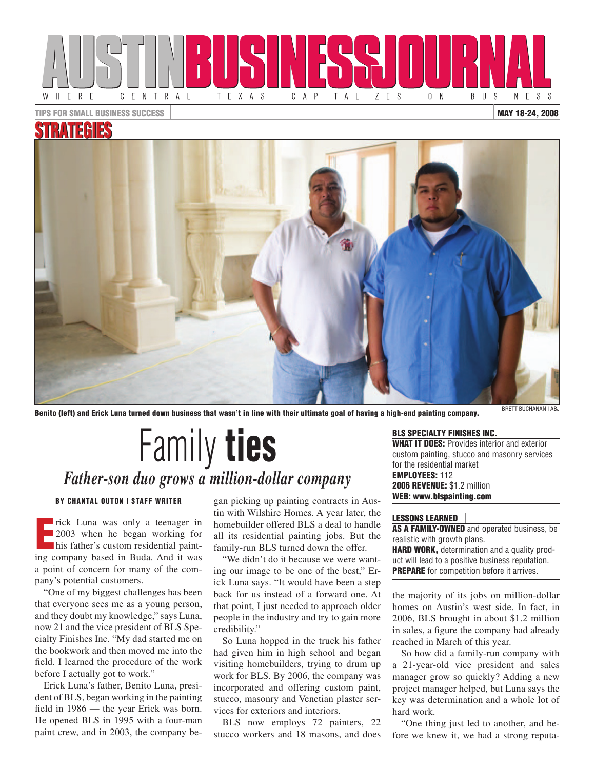

TIPS FOR SMALL BUSINESS SUCCESS

#### MAY 18-24, 2008

## STRATEGI



Benito (left) and Erick Luna turned down business that wasn't in line with their ultimate goal of having a high-end painting company.

# **Family ties** *Father-son duo grows a million-dollar company*

#### by Chantal Outon | STAFF Writer

rick Luna was only a teenager in<br>
2003 when he began working for<br>
his father's custom residential paint-2003 when he began working for his father's custom residential painting company based in Buda. And it was a point of concern for many of the company's potential customers.

"One of my biggest challenges has been that everyone sees me as a young person, and they doubt my knowledge," says Luna, now 21 and the vice president of BLS Specialty Finishes Inc. "My dad started me on the bookwork and then moved me into the field. I learned the procedure of the work before I actually got to work."

Erick Luna's father, Benito Luna, president of BLS, began working in the painting field in 1986 — the year Erick was born. He opened BLS in 1995 with a four-man paint crew, and in 2003, the company began picking up painting contracts in Austin with Wilshire Homes. A year later, the homebuilder offered BLS a deal to handle all its residential painting jobs. But the family-run BLS turned down the offer.

"We didn't do it because we were wanting our image to be one of the best," Erick Luna says. "It would have been a step back for us instead of a forward one. At that point, I just needed to approach older people in the industry and try to gain more credibility."

So Luna hopped in the truck his father had given him in high school and began visiting homebuilders, trying to drum up work for BLS. By 2006, the company was incorporated and offering custom paint, stucco, masonry and Venetian plaster services for exteriors and interiors.

BLS now employs 72 painters, 22 stucco workers and 18 masons, and does

### BLS SPECIALTY FINISHES INC. WHAT IT DOES: Provides interior and exterior

custom painting, stucco and masonry services for the residential market EMPLOYEES: 112 2006 REVENUE: \$1.2 million WEB: www.blspainting.com

#### Lessons learned

AS A FAMILY-OWNED and operated business, be realistic with growth plans. HARD WORK, determination and a quality product will lead to a positive business reputation. **PREPARE** for competition before it arrives.

the majority of its jobs on million-dollar homes on Austin's west side. In fact, in 2006, BLS brought in about \$1.2 million in sales, a figure the company had already reached in March of this year.

So how did a family-run company with a 21-year-old vice president and sales manager grow so quickly? Adding a new project manager helped, but Luna says the key was determination and a whole lot of hard work.

"One thing just led to another, and before we knew it, we had a strong reputa